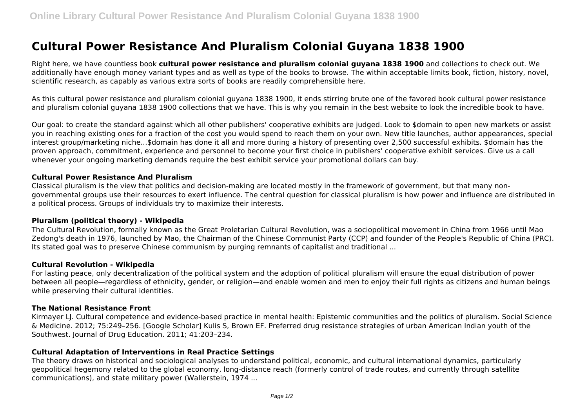# **Cultural Power Resistance And Pluralism Colonial Guyana 1838 1900**

Right here, we have countless book **cultural power resistance and pluralism colonial guyana 1838 1900** and collections to check out. We additionally have enough money variant types and as well as type of the books to browse. The within acceptable limits book, fiction, history, novel, scientific research, as capably as various extra sorts of books are readily comprehensible here.

As this cultural power resistance and pluralism colonial guyana 1838 1900, it ends stirring brute one of the favored book cultural power resistance and pluralism colonial guyana 1838 1900 collections that we have. This is why you remain in the best website to look the incredible book to have.

Our goal: to create the standard against which all other publishers' cooperative exhibits are judged. Look to \$domain to open new markets or assist you in reaching existing ones for a fraction of the cost you would spend to reach them on your own. New title launches, author appearances, special interest group/marketing niche...\$domain has done it all and more during a history of presenting over 2,500 successful exhibits. \$domain has the proven approach, commitment, experience and personnel to become your first choice in publishers' cooperative exhibit services. Give us a call whenever your ongoing marketing demands require the best exhibit service your promotional dollars can buy.

# **Cultural Power Resistance And Pluralism**

Classical pluralism is the view that politics and decision-making are located mostly in the framework of government, but that many nongovernmental groups use their resources to exert influence. The central question for classical pluralism is how power and influence are distributed in a political process. Groups of individuals try to maximize their interests.

## **Pluralism (political theory) - Wikipedia**

The Cultural Revolution, formally known as the Great Proletarian Cultural Revolution, was a sociopolitical movement in China from 1966 until Mao Zedong's death in 1976, launched by Mao, the Chairman of the Chinese Communist Party (CCP) and founder of the People's Republic of China (PRC). Its stated goal was to preserve Chinese communism by purging remnants of capitalist and traditional ...

## **Cultural Revolution - Wikipedia**

For lasting peace, only decentralization of the political system and the adoption of political pluralism will ensure the equal distribution of power between all people—regardless of ethnicity, gender, or religion—and enable women and men to enjoy their full rights as citizens and human beings while preserving their cultural identities.

## **The National Resistance Front**

Kirmayer LJ. Cultural competence and evidence-based practice in mental health: Epistemic communities and the politics of pluralism. Social Science & Medicine. 2012; 75:249–256. [Google Scholar] Kulis S, Brown EF. Preferred drug resistance strategies of urban American Indian youth of the Southwest. Journal of Drug Education. 2011; 41:203–234.

# **Cultural Adaptation of Interventions in Real Practice Settings**

The theory draws on historical and sociological analyses to understand political, economic, and cultural international dynamics, particularly geopolitical hegemony related to the global economy, long-distance reach (formerly control of trade routes, and currently through satellite communications), and state military power (Wallerstein, 1974 ...